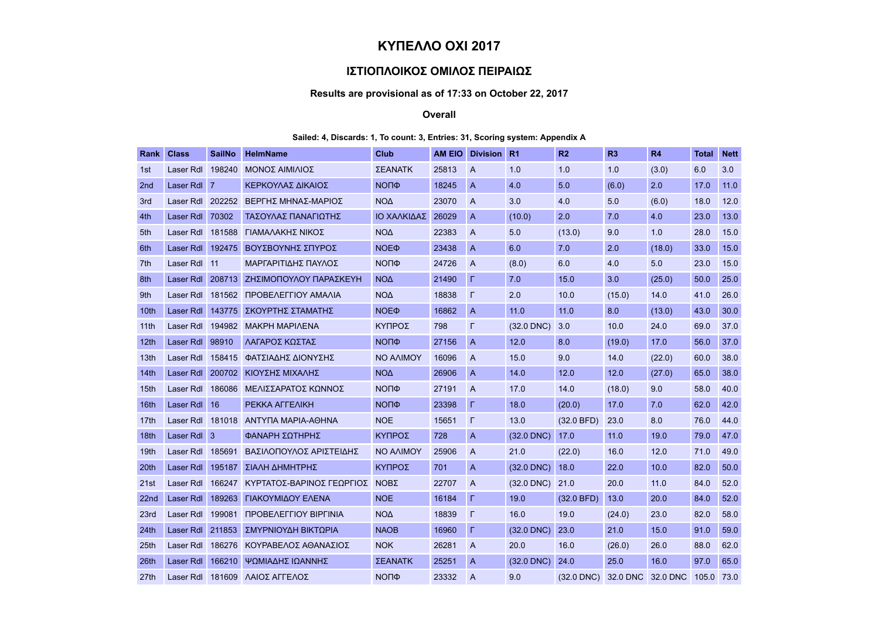# ΚΥΠΕΛΛΟ ΟΧΙ 2017

## ΙΣΤΙΟΠΛΟΙΚΟΣ ΟΜΙΛΟΣ ΠΕΙΡΑΙΩΣ

## Results are provisional as of 17:33 on October 22, 2017

#### Overall

### Sailed: 4, Discards: 1, To count: 3, Entries: 31, Scoring system: Appendix A

| Rank             | <b>Class</b>     | <b>SailNo</b>  | <b>HelmName</b>           | Club             | <b>AM EIO</b> | <b>Division</b> | <b>R1</b>    | R <sub>2</sub> | R3       | R4       | Total | <b>Nett</b> |
|------------------|------------------|----------------|---------------------------|------------------|---------------|-----------------|--------------|----------------|----------|----------|-------|-------------|
| 1st              | Laser Rdl        | 198240         | ΝΟΝΟΣ ΑΙΜΙΛΙΟΣ            | <b>ΣΕΑΝΑΤΚ</b>   | 25813         | $\overline{A}$  | 1.0          | 1.0            | 1.0      | (3.0)    | 6.0   | 3.0         |
| 2 <sub>nd</sub>  | Laser Rdl        | $\overline{7}$ | ΚΕΡΚΟΥΛΑΣ ΔΙΚΑΙΟΣ         | <b>NOПФ</b>      | 18245         | $\overline{A}$  | 4.0          | 5.0            | (6.0)    | 2.0      | 17.0  | 11.0        |
| 3rd              | Laser Rdl 202252 |                | ΒΕΡΓΗΣ ΜΗΝΑΣ-ΜΑΡΙΟΣ       | <b>NOA</b>       | 23070         | $\overline{A}$  | 3.0          | 4.0            | 5.0      | (6.0)    | 18.0  | 12.0        |
| 4th              | Laser Rdl        | 70302          | ΤΑΣΟΥΛΑΣ ΠΑΝΑΓΙΩΤΗΣ       | ΙΟ ΧΑΛΚΙΔΑΣ      | 26029         | $\overline{A}$  | (10.0)       | 2.0            | 7.0      | 4.0      | 23.0  | 13.0        |
| 5th              | Laser Rdl        | 181588         | ΓΙΑΜΑΛΑΚΗΣ ΝΙΚΟΣ          | NO <sub>4</sub>  | 22383         | $\overline{A}$  | 5.0          | (13.0)         | 9.0      | 1.0      | 28.0  | 15.0        |
| 6th              | Laser Rdl        | 192475         | ΒΟΥΣΒΟΥΝΗΣ ΣΠΥΡΟΣ         | NOE <sub>Φ</sub> | 23438         | $\overline{A}$  | 6.0          | 7.0            | 2.0      | (18.0)   | 33.0  | 15.0        |
| 7th              | Laser Rdl        | 11             | ΜΑΡΓΑΡΙΤΙΔΗΣ ΠΑΥΛΟΣ       | <b>NOПФ</b>      | 24726         | $\overline{A}$  | (8.0)        | 6.0            | 4.0      | 5.0      | 23.0  | 15.0        |
| 8th              | Laser Rdl        | 208713         | ΖΗΣΙΜΟΠΟΥΛΟΥ ΠΑΡΑΣΚΕΥΗ    | $NO\Delta$       | 21490         | г               | 7.0          | 15.0           | 3.0      | (25.0)   | 50.0  | 25.0        |
| 9th              | Laser Rdl        | 181562         | ΠΡΟΒΕΛΕΓΓΙΟΥ ΑΜΑΛΙΑ       | <b>NOA</b>       | 18838         | г               | 2.0          | 10.0           | (15.0)   | 14.0     | 41.0  | 26.0        |
| 10th             | Laser Rdl        | 143775         | ΣΚΟΥΡΤΗΣ ΣΤΑΜΑΤΗΣ         | NOE <sub>Φ</sub> | 16862         | $\overline{A}$  | 11.0         | 11.0           | 8.0      | (13.0)   | 43.0  | 30.0        |
| 11th             | Laser Rdl        |                | 194982 MAKPH MAPIAENA     | ΚΥΠΡΟΣ           | 798           | $\Gamma$        | $(32.0$ DNC) | 3.0            | 10.0     | 24.0     | 69.0  | 37.0        |
| 12 <sub>th</sub> | <b>Laser Rdl</b> | 98910          | ΛΑΓΑΡΟΣ ΚΩΣΤΑΣ            | ΝΟΠΦ             | 27156         | $\overline{A}$  | 12.0         | 8.0            | (19.0)   | 17.0     | 56.0  | 37.0        |
| 13th             | Laser Rdl        | 158415         | <b>ΦΑΤΣΙΑΔΗΣ ΔΙΟΝΥΣΗΣ</b> | NO AAIMOY        | 16096         | $\overline{A}$  | 15.0         | 9.0            | 14.0     | (22.0)   | 60.0  | 38.0        |
| 14 <sub>th</sub> | <b>Laser Rdl</b> | 200702         | ΚΙΟΥΣΗΣ ΜΙΧΑΛΗΣ           | NO <sub>Δ</sub>  | 26906         | $\overline{A}$  | 14.0         | 12.0           | 12.0     | (27.0)   | 65.0  | 38.0        |
| 15 <sub>th</sub> | Laser Rdl        | 186086         | ΜΕΛΙΣΣΑΡΑΤΟΣ ΚΩΝΝΟΣ       | <b>NOПФ</b>      | 27191         | $\overline{A}$  | 17.0         | 14.0           | (18.0)   | 9.0      | 58.0  | 40.0        |
| 16th             | Laser Rdl        | 16             | PEKKA AFFEAIKH            | <b>NOПФ</b>      | 23398         | г               | 18.0         | (20.0)         | 17.0     | 7.0      | 62.0  | 42.0        |
| 17th             | Laser Rdl        | 181018         | ΑΝΤΥΠΑ ΜΑΡΙΑ-ΑΘΗΝΑ        | <b>NOE</b>       | 15651         | $\Gamma$        | 13.0         | (32.0 BFD)     | 23.0     | 8.0      | 76.0  | 44.0        |
| 18th             | Laser Rdl 3      |                | ΦΑΝΑΡΗ ΣΩΤΗΡΗΣ            | ΚΥΠΡΟΣ           | 728           | $\overline{A}$  | $(32.0$ DNC) | 17.0           | 11.0     | 19.0     | 79.0  | 47.0        |
| 19 <sub>th</sub> | Laser Rdl        | 185691         | ΒΑΣΙΛΟΠΟΥΛΟΣ ΑΡΙΣΤΕΙΔΗΣ   | <b>NO AAIMOY</b> | 25906         | $\overline{A}$  | 21.0         | (22.0)         | 16.0     | 12.0     | 71.0  | 49.0        |
| 20th             | <b>Laser Rdl</b> | 195187         | ΣΙΑΛΗ ΔΗΜΗΤΡΗΣ            | ΚΥΠΡΟΣ           | 701           | $\overline{A}$  | $(32.0$ DNC) | 18.0           | 22.0     | 10.0     | 82.0  | 50.0        |
| 21st             | Laser Rdl        | 166247         | ΚΥΡΤΑΤΟΣ-ΒΑΡΙΝΟΣ ΓΕΩΡΓΙΟΣ | <b>NOBE</b>      | 22707         | $\overline{A}$  | $(32.0$ DNC) | 21.0           | 20.0     | 11.0     | 84.0  | 52.0        |
| 22 <sub>nd</sub> | <b>Laser Rdl</b> | 189263         | ΓΙΑΚΟΥΜΙΔΟΥ ΕΛΕΝΑ         | <b>NOE</b>       | 16184         | L.              | 19.0         | (32.0 BFD)     | 13.0     | 20.0     | 84.0  | 52.0        |
| 23rd             | Laser Rdl        | 199081         | ΠΡΟΒΕΛΕΓΓΙΟΥ ΒΙΡΓΙΝΙΑ     | NO <sub>Δ</sub>  | 18839         | $\Gamma$        | 16.0         | 19.0           | (24.0)   | 23.0     | 82.0  | 58.0        |
| 24th             | <b>Laser Rdl</b> | 211853         | ΣΜΥΡΝΙΟΥΔΗ ΒΙΚΤΩΡΙΑ       | <b>NAOB</b>      | 16960         | г               | $(32.0$ DNC) | 23.0           | 21.0     | 15.0     | 91.0  | 59.0        |
| 25th             | Laser Rdl        | 186276         | ΚΟΥΡΑΒΕΛΟΣ ΑΘΑΝΑΣΙΟΣ      | <b>NOK</b>       | 26281         | $\overline{A}$  | 20.0         | 16.0           | (26.0)   | 26.0     | 88.0  | 62.0        |
| 26th             | Laser Rdl        | 166210         | ΨΩΜΙΑΔΗΣ ΙΩΑΝΝΗΣ          | ΣΕΑΝΑΤΚ          | 25251         | $\overline{A}$  | $(32.0$ DNC) | 24.0           | 25.0     | 16.0     | 97.0  | 65.0        |
| 27 <sub>th</sub> | Laser Rdl        | 181609         | ΛΑΙΟΣ ΑΓΓΕΛΟΣ             | <b>NOПФ</b>      | 23332         | $\overline{A}$  | 9.0          | $(32.0$ DNC)   | 32.0 DNC | 32.0 DNC | 105.0 | 73.0        |